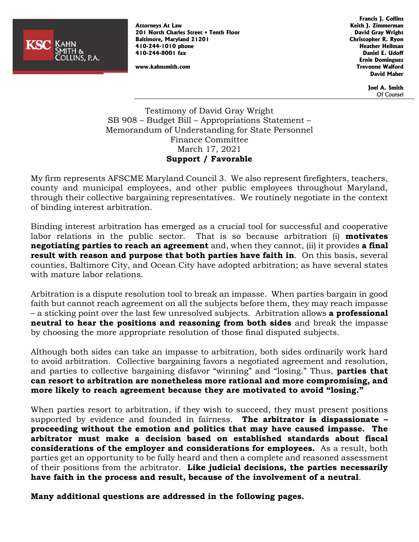

**Attorneys At Law Keith J. Zimmerman 201 North Charles Street • Tenth Floor David Gray Wright Baltimore, Maryland 21201 Christopher R. Ryon 410-244-1010 phone Heather Heilman 410-244-8001 fax Daniel E. Udoff**

**Francis J. Collins Ernie Dominguez www.kahnsmith.com Trevonne Walford David Maher**

> **Joel A. Smith** Of Counsel

Testimony of David Gray Wright SB 908 – Budget Bill – Appropriations Statement – Memorandum of Understanding for State Personnel Finance Committee March 17, 2021 **Support / Favorable**

My firm represents AFSCME Maryland Council 3. We also represent firefighters, teachers, county and municipal employees, and other public employees throughout Maryland, through their collective bargaining representatives. We routinely negotiate in the context of binding interest arbitration.

Binding interest arbitration has emerged as a crucial tool for successful and cooperative labor relations in the public sector. That is so because arbitration (i) **motivates negotiating parties to reach an agreement** and, when they cannot, (ii) it provides **a final result with reason and purpose that both parties have faith in**. On this basis, several counties, Baltimore City, and Ocean City have adopted arbitration; as have several states with mature labor relations.

Arbitration is a dispute resolution tool to break an impasse. When parties bargain in good faith but cannot reach agreement on all the subjects before them, they may reach impasse – a sticking point over the last few unresolved subjects. Arbitration allows **a professional neutral to hear the positions and reasoning from both sides** and break the impasse by choosing the more appropriate resolution of those final disputed subjects.

Although both sides can take an impasse to arbitration, both sides ordinarily work hard to avoid arbitration. Collective bargaining favors a negotiated agreement and resolution, and parties to collective bargaining disfavor "winning" and "losing." Thus, **parties that can resort to arbitration are nonetheless more rational and more compromising, and more likely to reach agreement because they are motivated to avoid "losing."**

When parties resort to arbitration, if they wish to succeed, they must present positions supported by evidence and founded in fairness. **The arbitrator is dispassionate – proceeding without the emotion and politics that may have caused impasse. The arbitrator must make a decision based on established standards about fiscal considerations of the employer and considerations for employees.** As a result, both parties get an opportunity to be fully heard and then a complete and reasoned assessment of their positions from the arbitrator. **Like judicial decisions, the parties necessarily have faith in the process and result, because of the involvement of a neutral**.

**Many additional questions are addressed in the following pages.**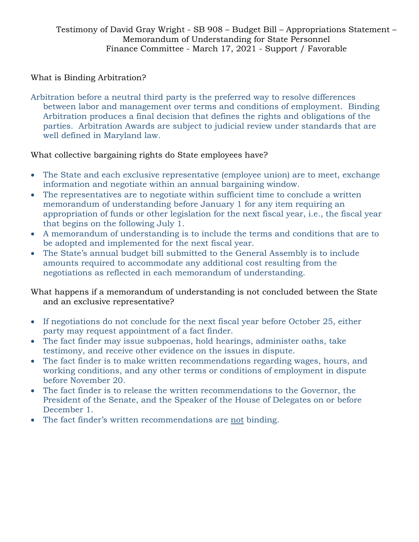### What is Binding Arbitration?

Arbitration before a neutral third party is the preferred way to resolve differences between labor and management over terms and conditions of employment. Binding Arbitration produces a final decision that defines the rights and obligations of the parties. Arbitration Awards are subject to judicial review under standards that are well defined in Maryland law.

### What collective bargaining rights do State employees have?

- The State and each exclusive representative (employee union) are to meet, exchange information and negotiate within an annual bargaining window.
- The representatives are to negotiate within sufficient time to conclude a written memorandum of understanding before January 1 for any item requiring an appropriation of funds or other legislation for the next fiscal year, i.e., the fiscal year that begins on the following July 1.
- A memorandum of understanding is to include the terms and conditions that are to be adopted and implemented for the next fiscal year.
- The State's annual budget bill submitted to the General Assembly is to include amounts required to accommodate any additional cost resulting from the negotiations as reflected in each memorandum of understanding.

What happens if a memorandum of understanding is not concluded between the State and an exclusive representative?

- If negotiations do not conclude for the next fiscal year before October 25, either party may request appointment of a fact finder.
- The fact finder may issue subpoenas, hold hearings, administer oaths, take testimony, and receive other evidence on the issues in dispute.
- The fact finder is to make written recommendations regarding wages, hours, and working conditions, and any other terms or conditions of employment in dispute before November 20.
- The fact finder is to release the written recommendations to the Governor, the President of the Senate, and the Speaker of the House of Delegates on or before December 1.
- The fact finder's written recommendations are not binding.